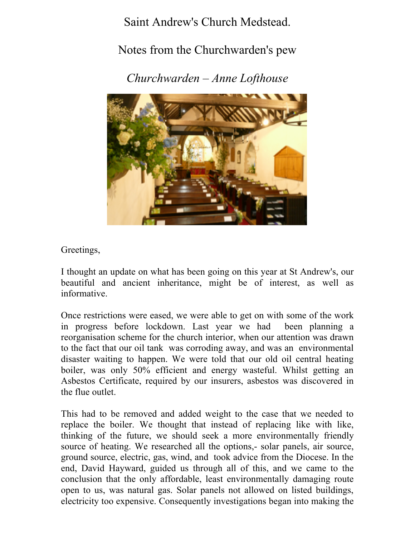Saint Andrew's Church Medstead.

## Notes from the Churchwarden's pew

*Churchwarden – Anne Lofthouse*



Greetings,

I thought an update on what has been going on this year at St Andrew's, our beautiful and ancient inheritance, might be of interest, as well as informative.

Once restrictions were eased, we were able to get on with some of the work in progress before lockdown. Last year we had been planning a reorganisation scheme for the church interior, when our attention was drawn to the fact that our oil tank was corroding away, and was an environmental disaster waiting to happen. We were told that our old oil central heating boiler, was only 50% efficient and energy wasteful. Whilst getting an Asbestos Certificate, required by our insurers, asbestos was discovered in the flue outlet.

This had to be removed and added weight to the case that we needed to replace the boiler. We thought that instead of replacing like with like, thinking of the future, we should seek a more environmentally friendly source of heating. We researched all the options,- solar panels, air source, ground source, electric, gas, wind, and took advice from the Diocese. In the end, David Hayward, guided us through all of this, and we came to the conclusion that the only affordable, least environmentally damaging route open to us, was natural gas. Solar panels not allowed on listed buildings, electricity too expensive. Consequently investigations began into making the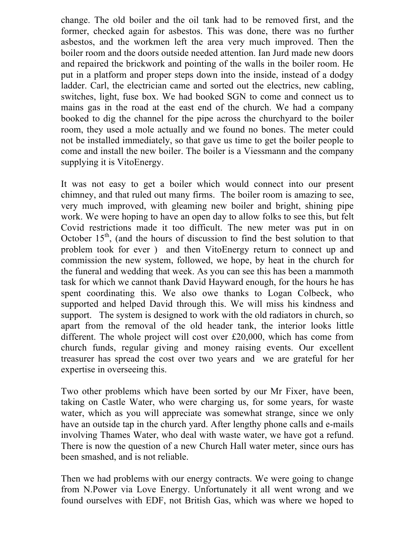change. The old boiler and the oil tank had to be removed first, and the former, checked again for asbestos. This was done, there was no further asbestos, and the workmen left the area very much improved. Then the boiler room and the doors outside needed attention. Ian Jurd made new doors and repaired the brickwork and pointing of the walls in the boiler room. He put in a platform and proper steps down into the inside, instead of a dodgy ladder. Carl, the electrician came and sorted out the electrics, new cabling, switches, light, fuse box. We had booked SGN to come and connect us to mains gas in the road at the east end of the church. We had a company booked to dig the channel for the pipe across the churchyard to the boiler room, they used a mole actually and we found no bones. The meter could not be installed immediately, so that gave us time to get the boiler people to come and install the new boiler. The boiler is a Viessmann and the company supplying it is VitoEnergy.

It was not easy to get a boiler which would connect into our present chimney, and that ruled out many firms. The boiler room is amazing to see, very much improved, with gleaming new boiler and bright, shining pipe work. We were hoping to have an open day to allow folks to see this, but felt Covid restrictions made it too difficult. The new meter was put in on October  $15<sup>th</sup>$ , (and the hours of discussion to find the best solution to that problem took for ever ) and then VitoEnergy return to connect up and commission the new system, followed, we hope, by heat in the church for the funeral and wedding that week. As you can see this has been a mammoth task for which we cannot thank David Hayward enough, for the hours he has spent coordinating this. We also owe thanks to Logan Colbeck, who supported and helped David through this. We will miss his kindness and support. The system is designed to work with the old radiators in church, so apart from the removal of the old header tank, the interior looks little different. The whole project will cost over £20,000, which has come from church funds, regular giving and money raising events. Our excellent treasurer has spread the cost over two years and we are grateful for her expertise in overseeing this.

Two other problems which have been sorted by our Mr Fixer, have been, taking on Castle Water, who were charging us, for some years, for waste water, which as you will appreciate was somewhat strange, since we only have an outside tap in the church yard. After lengthy phone calls and e-mails involving Thames Water, who deal with waste water, we have got a refund. There is now the question of a new Church Hall water meter, since ours has been smashed, and is not reliable.

Then we had problems with our energy contracts. We were going to change from N.Power via Love Energy. Unfortunately it all went wrong and we found ourselves with EDF, not British Gas, which was where we hoped to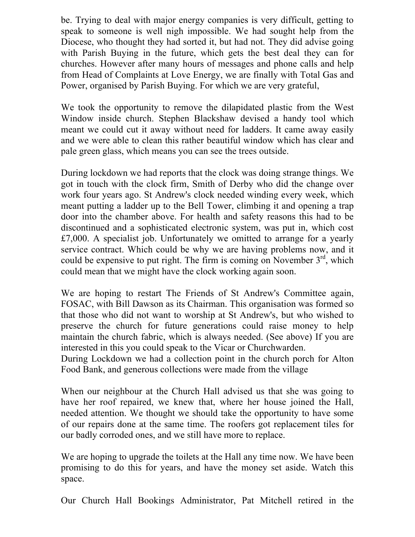be. Trying to deal with major energy companies is very difficult, getting to speak to someone is well nigh impossible. We had sought help from the Diocese, who thought they had sorted it, but had not. They did advise going with Parish Buying in the future, which gets the best deal they can for churches. However after many hours of messages and phone calls and help from Head of Complaints at Love Energy, we are finally with Total Gas and Power, organised by Parish Buying. For which we are very grateful,

We took the opportunity to remove the dilapidated plastic from the West Window inside church. Stephen Blackshaw devised a handy tool which meant we could cut it away without need for ladders. It came away easily and we were able to clean this rather beautiful window which has clear and pale green glass, which means you can see the trees outside.

During lockdown we had reports that the clock was doing strange things. We got in touch with the clock firm, Smith of Derby who did the change over work four years ago. St Andrew's clock needed winding every week, which meant putting a ladder up to the Bell Tower, climbing it and opening a trap door into the chamber above. For health and safety reasons this had to be discontinued and a sophisticated electronic system, was put in, which cost £7,000. A specialist job. Unfortunately we omitted to arrange for a yearly service contract. Which could be why we are having problems now, and it could be expensive to put right. The firm is coming on November  $3<sup>rd</sup>$ , which could mean that we might have the clock working again soon.

We are hoping to restart The Friends of St Andrew's Committee again, FOSAC, with Bill Dawson as its Chairman. This organisation was formed so that those who did not want to worship at St Andrew's, but who wished to preserve the church for future generations could raise money to help maintain the church fabric, which is always needed. (See above) If you are interested in this you could speak to the Vicar or Churchwarden.

During Lockdown we had a collection point in the church porch for Alton Food Bank, and generous collections were made from the village

When our neighbour at the Church Hall advised us that she was going to have her roof repaired, we knew that, where her house joined the Hall, needed attention. We thought we should take the opportunity to have some of our repairs done at the same time. The roofers got replacement tiles for our badly corroded ones, and we still have more to replace.

We are hoping to upgrade the toilets at the Hall any time now. We have been promising to do this for years, and have the money set aside. Watch this space.

Our Church Hall Bookings Administrator, Pat Mitchell retired in the